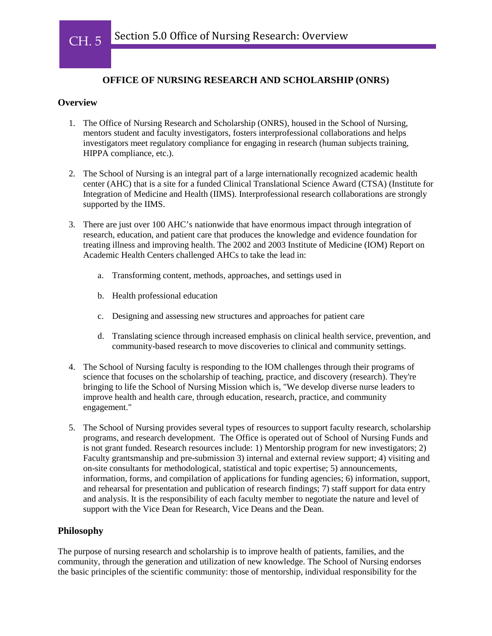

I I

# **OFFICE OF NURSING RESEARCH AND SCHOLARSHIP (ONRS)**

#### **Overview**

- 1. The Office of Nursing Research and Scholarship (ONRS), housed in the School of Nursing, mentors student and faculty investigators, fosters interprofessional collaborations and helps investigators meet regulatory compliance for engaging in research (human subjects training, HIPPA compliance, etc.).
- 2. The School of Nursing is an integral part of a large internationally recognized academic health center (AHC) that is a site for a funded Clinical Translational Science Award (CTSA) (Institute for Integration of Medicine and Health (IIMS). Interprofessional research collaborations are strongly supported by the IIMS.
- 3. There are just over 100 AHC's nationwide that have enormous impact through integration of research, education, and patient care that produces the knowledge and evidence foundation for treating illness and improving health. The 2002 and 2003 Institute of Medicine (IOM) Report on Academic Health Centers challenged AHCs to take the lead in:
	- a. Transforming content, methods, approaches, and settings used in
	- b. Health professional education
	- c. Designing and assessing new structures and approaches for patient care
	- d. Translating science through increased emphasis on clinical health service, prevention, and community-based research to move discoveries to clinical and community settings.
- 4. The School of Nursing faculty is responding to the IOM challenges through their programs of science that focuses on the scholarship of teaching, practice, and discovery (research). They're bringing to life the School of Nursing Mission which is, "We develop diverse nurse leaders to improve health and health care, through education, research, practice, and community engagement."
- 5. The School of Nursing provides several types of resources to support faculty research, scholarship programs, and research development. The Office is operated out of School of Nursing Funds and is not grant funded. Research resources include: 1) Mentorship program for new investigators; 2) Faculty grantsmanship and pre-submission 3) internal and external review support; 4) visiting and on-site consultants for methodological, statistical and topic expertise; 5) announcements, information, forms, and compilation of applications for funding agencies; 6) information, support, and rehearsal for presentation and publication of research findings; 7) staff support for data entry and analysis. It is the responsibility of each faculty member to negotiate the nature and level of support with the Vice Dean for Research, Vice Deans and the Dean.

## **Philosophy**

The purpose of nursing research and scholarship is to improve health of patients, families, and the community, through the generation and utilization of new knowledge. The School of Nursing endorses the basic principles of the scientific community: those of mentorship, individual responsibility for the